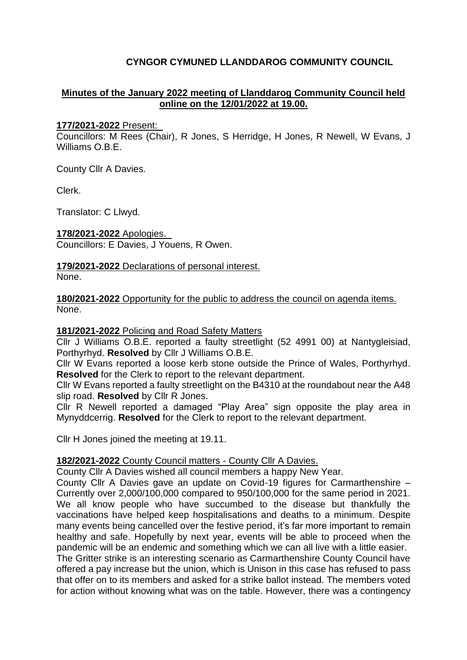## **CYNGOR CYMUNED LLANDDAROG COMMUNITY COUNCIL**

## **Minutes of the January 2022 meeting of Llanddarog Community Council held online on the 12/01/2022 at 19.00.**

#### **177/2021-2022** Present:

Councillors: M Rees (Chair), R Jones, S Herridge, H Jones, R Newell, W Evans, J Williams O.B.E.

County Cllr A Davies.

Clerk.

Translator: C Llwyd.

**178/2021-2022** Apologies. Councillors: E Davies, J Youens, R Owen.

**179/2021-2022** Declarations of personal interest. None.

**180/2021-2022** Opportunity for the public to address the council on agenda items. None.

#### **181/2021-2022** Policing and Road Safety Matters

Cllr J Williams O.B.E. reported a faulty streetlight (52 4991 00) at Nantygleisiad, Porthyrhyd. **Resolved** by Cllr J Williams O.B.E.

Cllr W Evans reported a loose kerb stone outside the Prince of Wales, Porthyrhyd. **Resolved** for the Clerk to report to the relevant department.

Cllr W Evans reported a faulty streetlight on the B4310 at the roundabout near the A48 slip road. **Resolved** by Cllr R Jones.

Cllr R Newell reported a damaged "Play Area" sign opposite the play area in Mynyddcerrig. **Resolved** for the Clerk to report to the relevant department.

Cllr H Jones joined the meeting at 19.11.

#### **182/2021-2022** County Council matters - County Cllr A Davies.

County Cllr A Davies wished all council members a happy New Year.

County Cllr A Davies gave an update on Covid-19 figures for Carmarthenshire – Currently over 2,000/100,000 compared to 950/100,000 for the same period in 2021. We all know people who have succumbed to the disease but thankfully the vaccinations have helped keep hospitalisations and deaths to a minimum. Despite many events being cancelled over the festive period, it's far more important to remain healthy and safe. Hopefully by next year, events will be able to proceed when the pandemic will be an endemic and something which we can all live with a little easier. The Gritter strike is an interesting scenario as Carmarthenshire County Council have offered a pay increase but the union, which is Unison in this case has refused to pass that offer on to its members and asked for a strike ballot instead. The members voted for action without knowing what was on the table. However, there was a contingency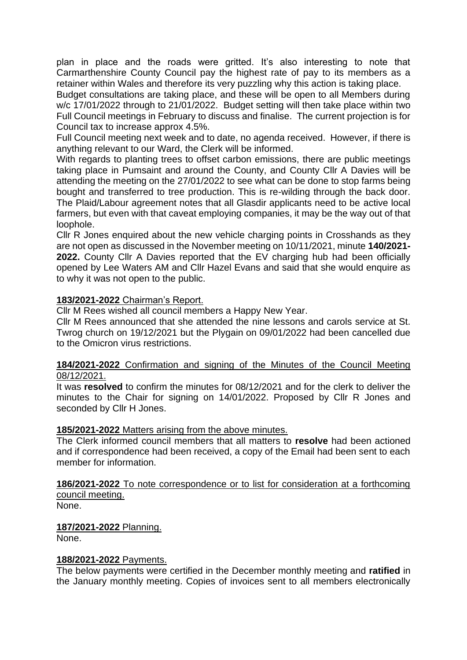plan in place and the roads were gritted. It's also interesting to note that Carmarthenshire County Council pay the highest rate of pay to its members as a retainer within Wales and therefore its very puzzling why this action is taking place.

Budget consultations are taking place, and these will be open to all Members during w/c 17/01/2022 through to 21/01/2022. Budget setting will then take place within two Full Council meetings in February to discuss and finalise. The current projection is for Council tax to increase approx 4.5%.

Full Council meeting next week and to date, no agenda received. However, if there is anything relevant to our Ward, the Clerk will be informed.

With regards to planting trees to offset carbon emissions, there are public meetings taking place in Pumsaint and around the County, and County Cllr A Davies will be attending the meeting on the 27/01/2022 to see what can be done to stop farms being bought and transferred to tree production. This is re-wilding through the back door. The Plaid/Labour agreement notes that all Glasdir applicants need to be active local farmers, but even with that caveat employing companies, it may be the way out of that loophole.

Cllr R Jones enquired about the new vehicle charging points in Crosshands as they are not open as discussed in the November meeting on 10/11/2021, minute **140/2021- 2022.** County Cllr A Davies reported that the EV charging hub had been officially opened by Lee Waters AM and Cllr Hazel Evans and said that she would enquire as to why it was not open to the public.

#### **183/2021-2022** Chairman's Report.

Cllr M Rees wished all council members a Happy New Year.

Cllr M Rees announced that she attended the nine lessons and carols service at St. Twrog church on 19/12/2021 but the Plygain on 09/01/2022 had been cancelled due to the Omicron virus restrictions.

#### **184/2021-2022** Confirmation and signing of the Minutes of the Council Meeting 08/12/2021.

It was **resolved** to confirm the minutes for 08/12/2021 and for the clerk to deliver the minutes to the Chair for signing on 14/01/2022. Proposed by Cllr R Jones and seconded by Cllr H Jones.

#### **185/2021-2022** Matters arising from the above minutes.

The Clerk informed council members that all matters to **resolve** had been actioned and if correspondence had been received, a copy of the Email had been sent to each member for information.

**186/2021-2022** To note correspondence or to list for consideration at a forthcoming council meeting.

None.

**187/2021-2022** Planning. None.

#### **188/2021-2022** Payments.

The below payments were certified in the December monthly meeting and **ratified** in the January monthly meeting. Copies of invoices sent to all members electronically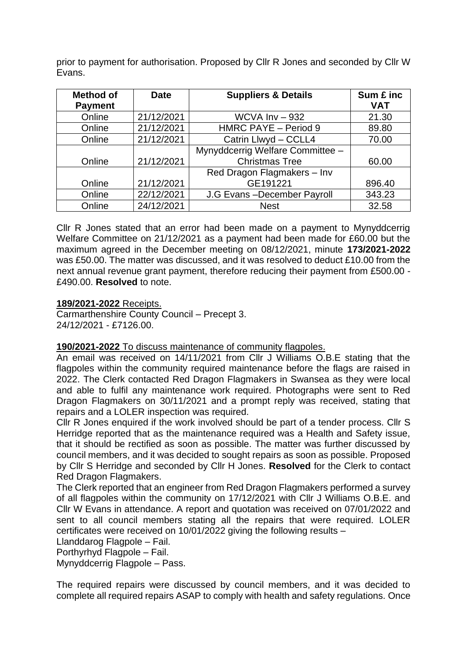prior to payment for authorisation. Proposed by Cllr R Jones and seconded by Cllr W Evans.

| <b>Method of</b> | <b>Date</b> | <b>Suppliers &amp; Details</b>   | Sum £ inc<br><b>VAT</b> |
|------------------|-------------|----------------------------------|-------------------------|
| <b>Payment</b>   |             |                                  |                         |
| Online           | 21/12/2021  | WCVA $Inv - 932$                 | 21.30                   |
| Online           | 21/12/2021  | HMRC PAYE - Period 9             | 89.80                   |
| Online           | 21/12/2021  | Catrin Llwyd - CCLL4             | 70.00                   |
|                  |             | Mynyddcerrig Welfare Committee - |                         |
| Online           | 21/12/2021  | <b>Christmas Tree</b>            | 60.00                   |
|                  |             | Red Dragon Flagmakers - Inv      |                         |
| Online           | 21/12/2021  | GE191221                         | 896.40                  |
| Online           | 22/12/2021  | J.G Evans-December Payroll       | 343.23                  |
| Online           | 24/12/2021  | <b>Nest</b>                      | 32.58                   |

Cllr R Jones stated that an error had been made on a payment to Mynyddcerrig Welfare Committee on 21/12/2021 as a payment had been made for £60.00 but the maximum agreed in the December meeting on 08/12/2021, minute **173/2021-2022** was £50.00. The matter was discussed, and it was resolved to deduct £10.00 from the next annual revenue grant payment, therefore reducing their payment from £500.00 - £490.00. **Resolved** to note.

#### **189/2021-2022** Receipts.

Carmarthenshire County Council – Precept 3. 24/12/2021 - £7126.00.

#### **190/2021-2022** To discuss maintenance of community flagpoles.

An email was received on 14/11/2021 from Cllr J Williams O.B.E stating that the flagpoles within the community required maintenance before the flags are raised in 2022. The Clerk contacted Red Dragon Flagmakers in Swansea as they were local and able to fulfil any maintenance work required. Photographs were sent to Red Dragon Flagmakers on 30/11/2021 and a prompt reply was received, stating that repairs and a LOLER inspection was required.

Cllr R Jones enquired if the work involved should be part of a tender process. Cllr S Herridge reported that as the maintenance required was a Health and Safety issue, that it should be rectified as soon as possible. The matter was further discussed by council members, and it was decided to sought repairs as soon as possible. Proposed by Cllr S Herridge and seconded by Cllr H Jones. **Resolved** for the Clerk to contact Red Dragon Flagmakers.

The Clerk reported that an engineer from Red Dragon Flagmakers performed a survey of all flagpoles within the community on 17/12/2021 with Cllr J Williams O.B.E. and Cllr W Evans in attendance. A report and quotation was received on 07/01/2022 and sent to all council members stating all the repairs that were required. LOLER certificates were received on 10/01/2022 giving the following results –

Llanddarog Flagpole – Fail.

Porthyrhyd Flagpole – Fail.

Mynyddcerrig Flagpole – Pass.

The required repairs were discussed by council members, and it was decided to complete all required repairs ASAP to comply with health and safety regulations. Once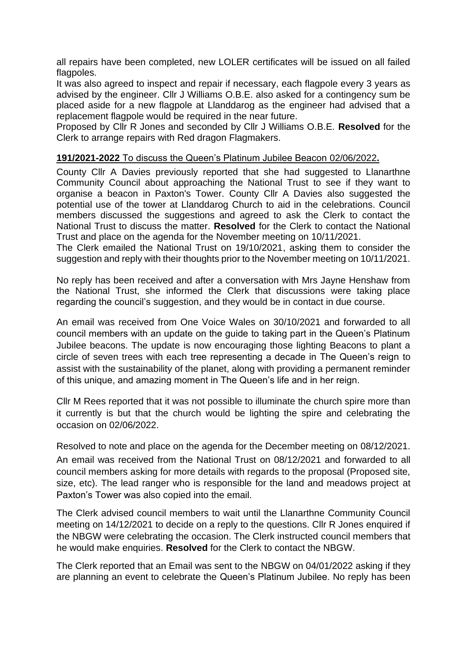all repairs have been completed, new LOLER certificates will be issued on all failed flagpoles.

It was also agreed to inspect and repair if necessary, each flagpole every 3 years as advised by the engineer. Cllr J Williams O.B.E. also asked for a contingency sum be placed aside for a new flagpole at Llanddarog as the engineer had advised that a replacement flagpole would be required in the near future.

Proposed by Cllr R Jones and seconded by Cllr J Williams O.B.E. **Resolved** for the Clerk to arrange repairs with Red dragon Flagmakers.

### **191/2021-2022** To discuss the Queen's Platinum Jubilee Beacon 02/06/2022**.**

County Cllr A Davies previously reported that she had suggested to Llanarthne Community Council about approaching the National Trust to see if they want to organise a beacon in Paxton's Tower. County Cllr A Davies also suggested the potential use of the tower at Llanddarog Church to aid in the celebrations. Council members discussed the suggestions and agreed to ask the Clerk to contact the National Trust to discuss the matter. **Resolved** for the Clerk to contact the National Trust and place on the agenda for the November meeting on 10/11/2021.

The Clerk emailed the National Trust on 19/10/2021, asking them to consider the suggestion and reply with their thoughts prior to the November meeting on 10/11/2021.

No reply has been received and after a conversation with Mrs Jayne Henshaw from the National Trust, she informed the Clerk that discussions were taking place regarding the council's suggestion, and they would be in contact in due course.

An email was received from One Voice Wales on 30/10/2021 and forwarded to all council members with an update on the guide to taking part in the Queen's Platinum Jubilee beacons. The update is now encouraging those lighting Beacons to plant a circle of seven trees with each tree representing a decade in The Queen's reign to assist with the sustainability of the planet, along with providing a permanent reminder of this unique, and amazing moment in The Queen's life and in her reign.

Cllr M Rees reported that it was not possible to illuminate the church spire more than it currently is but that the church would be lighting the spire and celebrating the occasion on 02/06/2022.

Resolved to note and place on the agenda for the December meeting on 08/12/2021.

An email was received from the National Trust on 08/12/2021 and forwarded to all council members asking for more details with regards to the proposal (Proposed site, size, etc). The lead ranger who is responsible for the land and meadows project at Paxton's Tower was also copied into the email.

The Clerk advised council members to wait until the Llanarthne Community Council meeting on 14/12/2021 to decide on a reply to the questions. Cllr R Jones enquired if the NBGW were celebrating the occasion. The Clerk instructed council members that he would make enquiries. **Resolved** for the Clerk to contact the NBGW.

The Clerk reported that an Email was sent to the NBGW on 04/01/2022 asking if they are planning an event to celebrate the Queen's Platinum Jubilee. No reply has been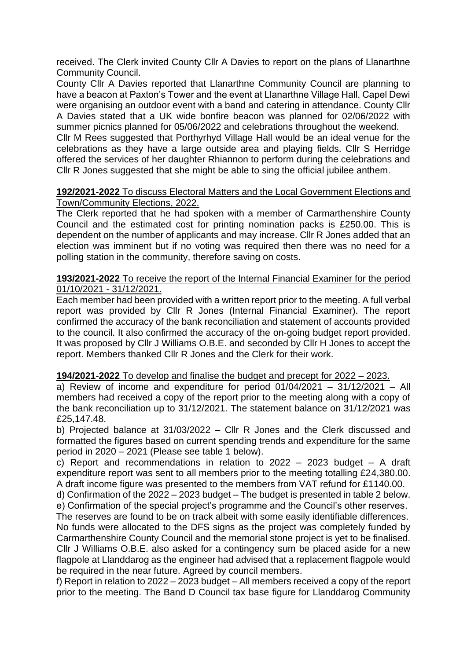received. The Clerk invited County Cllr A Davies to report on the plans of Llanarthne Community Council.

County Cllr A Davies reported that Llanarthne Community Council are planning to have a beacon at Paxton's Tower and the event at Llanarthne Village Hall. Capel Dewi were organising an outdoor event with a band and catering in attendance. County Cllr A Davies stated that a UK wide bonfire beacon was planned for 02/06/2022 with summer picnics planned for 05/06/2022 and celebrations throughout the weekend.

Cllr M Rees suggested that Porthyrhyd Village Hall would be an ideal venue for the celebrations as they have a large outside area and playing fields. Cllr S Herridge offered the services of her daughter Rhiannon to perform during the celebrations and Cllr R Jones suggested that she might be able to sing the official jubilee anthem.

#### **192/2021-2022** To discuss Electoral Matters and the Local Government Elections and Town/Community Elections, 2022.

The Clerk reported that he had spoken with a member of Carmarthenshire County Council and the estimated cost for printing nomination packs is £250.00. This is dependent on the number of applicants and may increase. Cllr R Jones added that an election was imminent but if no voting was required then there was no need for a polling station in the community, therefore saving on costs.

### **193/2021-2022** To receive the report of the Internal Financial Examiner for the period 01/10/2021 - 31/12/2021.

Each member had been provided with a written report prior to the meeting. A full verbal report was provided by Cllr R Jones (Internal Financial Examiner). The report confirmed the accuracy of the bank reconciliation and statement of accounts provided to the council. It also confirmed the accuracy of the on-going budget report provided. It was proposed by Cllr J Williams O.B.E. and seconded by Cllr H Jones to accept the report. Members thanked Cllr R Jones and the Clerk for their work.

#### **194/2021-2022** To develop and finalise the budget and precept for 2022 – 2023.

a) Review of income and expenditure for period  $01/04/2021 - 31/12/2021 - Al$ members had received a copy of the report prior to the meeting along with a copy of the bank reconciliation up to 31/12/2021. The statement balance on 31/12/2021 was £25,147.48.

b) Projected balance at 31/03/2022 – Cllr R Jones and the Clerk discussed and formatted the figures based on current spending trends and expenditure for the same period in 2020 – 2021 (Please see table 1 below).

c) Report and recommendations in relation to 2022 – 2023 budget – A draft expenditure report was sent to all members prior to the meeting totalling £24,380.00. A draft income figure was presented to the members from VAT refund for £1140.00.

d) Confirmation of the 2022 – 2023 budget – The budget is presented in table 2 below. e) Confirmation of the special project's programme and the Council's other reserves.

 The reserves are found to be on track albeit with some easily identifiable differences. No funds were allocated to the DFS signs as the project was completely funded by Carmarthenshire County Council and the memorial stone project is yet to be finalised. Cllr J Williams O.B.E. also asked for a contingency sum be placed aside for a new flagpole at Llanddarog as the engineer had advised that a replacement flagpole would be required in the near future. Agreed by council members.

f) Report in relation to 2022 – 2023 budget – All members received a copy of the report prior to the meeting. The Band D Council tax base figure for Llanddarog Community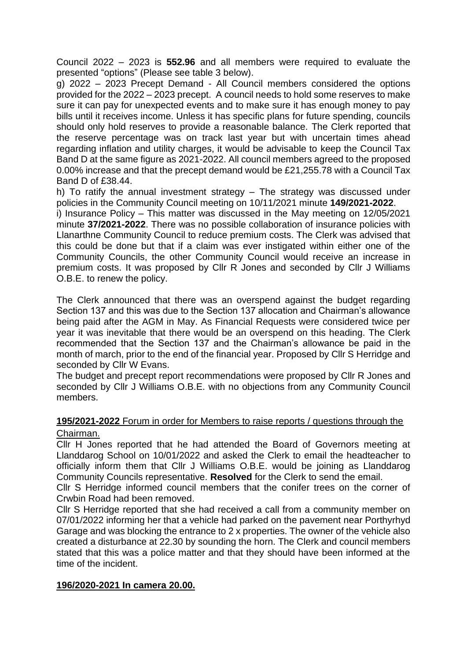Council 2022 – 2023 is **552.96** and all members were required to evaluate the presented "options" (Please see table 3 below).

g) 2022 – 2023 Precept Demand - All Council members considered the options provided for the 2022 – 2023 precept. A council needs to hold some reserves to make sure it can pay for unexpected events and to make sure it has enough money to pay bills until it receives income. Unless it has specific plans for future spending, councils should only hold reserves to provide a reasonable balance. The Clerk reported that the reserve percentage was on track last year but with uncertain times ahead regarding inflation and utility charges, it would be advisable to keep the Council Tax Band D at the same figure as 2021-2022. All council members agreed to the proposed 0.00% increase and that the precept demand would be £21,255.78 with a Council Tax Band D of £38.44.

h) To ratify the annual investment strategy – The strategy was discussed under policies in the Community Council meeting on 10/11/2021 minute **149/2021-2022**.

i) Insurance Policy – This matter was discussed in the May meeting on 12/05/2021 minute **37/2021-2022**. There was no possible collaboration of insurance policies with Llanarthne Community Council to reduce premium costs. The Clerk was advised that this could be done but that if a claim was ever instigated within either one of the Community Councils, the other Community Council would receive an increase in premium costs. It was proposed by Cllr R Jones and seconded by Cllr J Williams O.B.E. to renew the policy.

The Clerk announced that there was an overspend against the budget regarding Section 137 and this was due to the Section 137 allocation and Chairman's allowance being paid after the AGM in May. As Financial Requests were considered twice per year it was inevitable that there would be an overspend on this heading. The Clerk recommended that the Section 137 and the Chairman's allowance be paid in the month of march, prior to the end of the financial year. Proposed by Cllr S Herridge and seconded by Cllr W Evans.

The budget and precept report recommendations were proposed by Cllr R Jones and seconded by Cllr J Williams O.B.E. with no objections from any Community Council members.

#### **195/2021-2022** Forum in order for Members to raise reports / questions through the Chairman.

Cllr H Jones reported that he had attended the Board of Governors meeting at Llanddarog School on 10/01/2022 and asked the Clerk to email the headteacher to officially inform them that Cllr J Williams O.B.E. would be joining as Llanddarog Community Councils representative. **Resolved** for the Clerk to send the email.

Cllr S Herridge informed council members that the conifer trees on the corner of Crwbin Road had been removed.

Cllr S Herridge reported that she had received a call from a community member on 07/01/2022 informing her that a vehicle had parked on the pavement near Porthyrhyd Garage and was blocking the entrance to 2 x properties. The owner of the vehicle also created a disturbance at 22.30 by sounding the horn. The Clerk and council members stated that this was a police matter and that they should have been informed at the time of the incident.

#### **196/2020-2021 In camera 20.00.**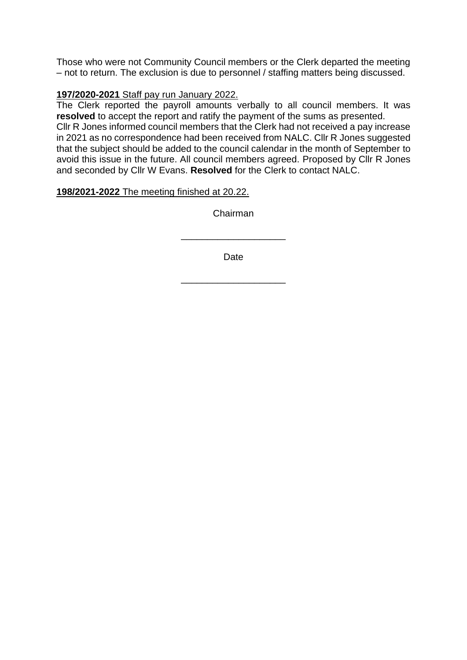Those who were not Community Council members or the Clerk departed the meeting – not to return. The exclusion is due to personnel / staffing matters being discussed.

## **197/2020-2021** Staff pay run January 2022.

The Clerk reported the payroll amounts verbally to all council members. It was **resolved** to accept the report and ratify the payment of the sums as presented.

Cllr R Jones informed council members that the Clerk had not received a pay increase in 2021 as no correspondence had been received from NALC. Cllr R Jones suggested that the subject should be added to the council calendar in the month of September to avoid this issue in the future. All council members agreed. Proposed by Cllr R Jones and seconded by Cllr W Evans. **Resolved** for the Clerk to contact NALC.

## **198/2021-2022** The meeting finished at 20.22.

Chairman

Date

\_\_\_\_\_\_\_\_\_\_\_\_\_\_\_\_\_\_\_\_

\_\_\_\_\_\_\_\_\_\_\_\_\_\_\_\_\_\_\_\_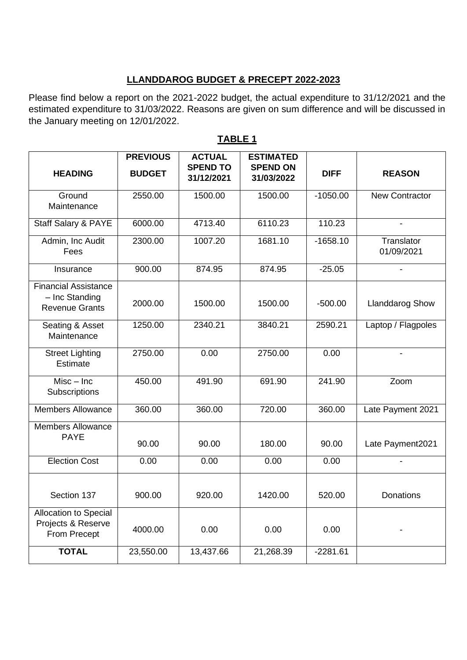# **LLANDDAROG BUDGET & PRECEPT 2022-2023**

Please find below a report on the 2021-2022 budget, the actual expenditure to 31/12/2021 and the estimated expenditure to 31/03/2022. Reasons are given on sum difference and will be discussed in the January meeting on 12/01/2022.

|                                                                        | <b>PREVIOUS</b> | <b>ACTUAL</b>                 | <b>ESTIMATED</b>              |             |                          |
|------------------------------------------------------------------------|-----------------|-------------------------------|-------------------------------|-------------|--------------------------|
| <b>HEADING</b>                                                         | <b>BUDGET</b>   | <b>SPEND TO</b><br>31/12/2021 | <b>SPEND ON</b><br>31/03/2022 | <b>DIFF</b> | <b>REASON</b>            |
| Ground<br>Maintenance                                                  | 2550.00         | 1500.00                       | 1500.00                       | $-1050.00$  | <b>New Contractor</b>    |
| Staff Salary & PAYE                                                    | 6000.00         | 4713.40                       | 6110.23                       | 110.23      |                          |
| Admin, Inc Audit<br>Fees                                               | 2300.00         | 1007.20                       | 1681.10                       | $-1658.10$  | Translator<br>01/09/2021 |
| Insurance                                                              | 900.00          | 874.95                        | 874.95                        | $-25.05$    |                          |
| <b>Financial Assistance</b><br>- Inc Standing<br><b>Revenue Grants</b> | 2000.00         | 1500.00                       | 1500.00                       | $-500.00$   | <b>Llanddarog Show</b>   |
| Seating & Asset<br>Maintenance                                         | 1250.00         | 2340.21                       | 3840.21                       | 2590.21     | Laptop / Flagpoles       |
| <b>Street Lighting</b><br>Estimate                                     | 2750.00         | 0.00                          | 2750.00                       | 0.00        |                          |
| $Misc - Inc$<br>Subscriptions                                          | 450.00          | 491.90                        | 691.90                        | 241.90      | Zoom                     |
| <b>Members Allowance</b>                                               | 360.00          | 360.00                        | 720.00                        | 360.00      | Late Payment 2021        |
| <b>Members Allowance</b><br><b>PAYE</b>                                | 90.00           | 90.00                         | 180.00                        | 90.00       | Late Payment2021         |
| <b>Election Cost</b>                                                   | 0.00            | 0.00                          | 0.00                          | 0.00        |                          |
| Section 137                                                            | 900.00          | 920.00                        | 1420.00                       | 520.00      | Donations                |
| Allocation to Special<br>Projects & Reserve<br>From Precept            | 4000.00         | 0.00                          | 0.00                          | 0.00        |                          |
| <b>TOTAL</b>                                                           | 23,550.00       | 13,437.66                     | 21,268.39                     | $-2281.61$  |                          |

# **TABLE 1**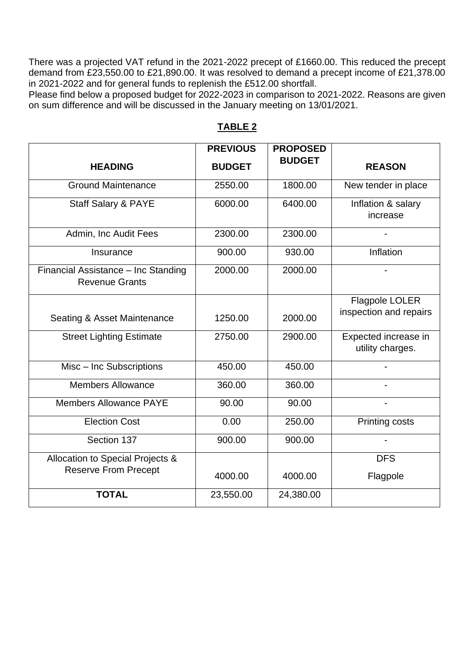There was a projected VAT refund in the 2021-2022 precept of £1660.00. This reduced the precept demand from £23,550.00 to £21,890.00. It was resolved to demand a precept income of £21,378.00 in 2021-2022 and for general funds to replenish the £512.00 shortfall.

Please find below a proposed budget for 2022-2023 in comparison to 2021-2022. Reasons are given on sum difference and will be discussed in the January meeting on 13/01/2021.

|                                                              | <b>PREVIOUS</b> | <b>PROPOSED</b> |                                          |
|--------------------------------------------------------------|-----------------|-----------------|------------------------------------------|
| <b>HEADING</b>                                               | <b>BUDGET</b>   | <b>BUDGET</b>   | <b>REASON</b>                            |
| <b>Ground Maintenance</b>                                    | 2550.00         | 1800.00         | New tender in place                      |
| <b>Staff Salary &amp; PAYE</b>                               | 6000.00         | 6400.00         | Inflation & salary<br>increase           |
| Admin, Inc Audit Fees                                        | 2300.00         | 2300.00         |                                          |
| Insurance                                                    | 900.00          | 930.00          | Inflation                                |
| Financial Assistance - Inc Standing<br><b>Revenue Grants</b> | 2000.00         | 2000.00         |                                          |
| Seating & Asset Maintenance                                  | 1250.00         | 2000.00         | Flagpole LOLER<br>inspection and repairs |
| <b>Street Lighting Estimate</b>                              | 2750.00         | 2900.00         | Expected increase in<br>utility charges. |
| Misc - Inc Subscriptions                                     | 450.00          | 450.00          |                                          |
| <b>Members Allowance</b>                                     | 360.00          | 360.00          |                                          |
| <b>Members Allowance PAYE</b>                                | 90.00           | 90.00           |                                          |
| <b>Election Cost</b>                                         | 0.00            | 250.00          | <b>Printing costs</b>                    |
| Section 137                                                  | 900.00          | 900.00          |                                          |
| Allocation to Special Projects &                             |                 |                 | <b>DFS</b>                               |
| <b>Reserve From Precept</b>                                  | 4000.00         | 4000.00         | Flagpole                                 |
| <b>TOTAL</b>                                                 | 23,550.00       | 24,380.00       |                                          |

## **TABLE 2**